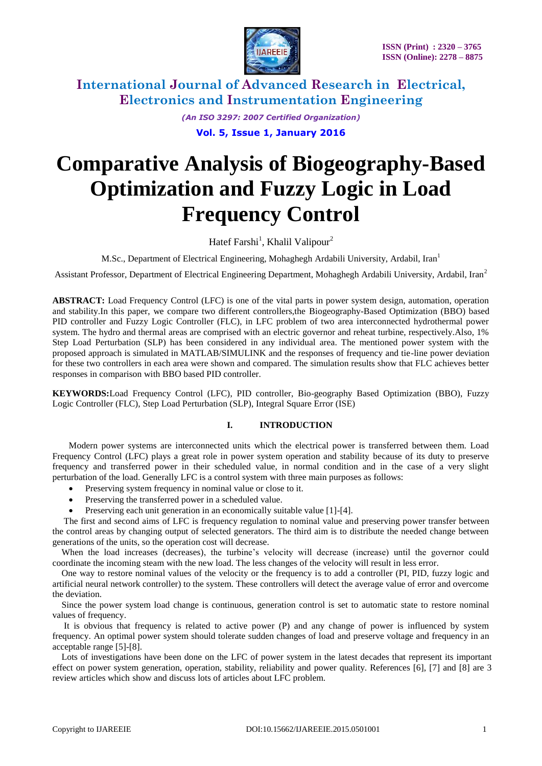

*(An ISO 3297: 2007 Certified Organization)*

**Vol. 5, Issue 1, January 2016**

# **Comparative Analysis of Biogeography-Based Optimization and Fuzzy Logic in Load Frequency Control**

Hatef Farshi<sup>1</sup>, Khalil Valipour<sup>2</sup>

M.Sc., Department of Electrical Engineering, Mohaghegh Ardabili University, Ardabil, Iran<sup>1</sup>

Assistant Professor, Department of Electrical Engineering Department, Mohaghegh Ardabili University, Ardabil, Iran<sup>2</sup>

**ABSTRACT:** Load Frequency Control (LFC) is one of the vital parts in power system design, automation, operation and stability.In this paper, we compare two different controllers,the Biogeography-Based Optimization (BBO) based PID controller and Fuzzy Logic Controller (FLC), in LFC problem of two area interconnected hydrothermal power system. The hydro and thermal areas are comprised with an electric governor and reheat turbine, respectively.Also, 1% Step Load Perturbation (SLP) has been considered in any individual area. The mentioned power system with the proposed approach is simulated in MATLAB/SIMULINK and the responses of frequency and tie-line power deviation for these two controllers in each area were shown and compared. The simulation results show that FLC achieves better responses in comparison with BBO based PID controller.

**KEYWORDS:**Load Frequency Control (LFC), PID controller, Bio-geography Based Optimization (BBO), Fuzzy Logic Controller (FLC), Step Load Perturbation (SLP), Integral Square Error (ISE)

### **I. INTRODUCTION**

Modern power systems are interconnected units which the electrical power is transferred between them. Load Frequency Control (LFC) plays a great role in power system operation and stability because of its duty to preserve frequency and transferred power in their scheduled value, in normal condition and in the case of a very slight perturbation of the load. Generally LFC is a control system with three main purposes as follows:

- Preserving system frequency in nominal value or close to it.
- Preserving the transferred power in a scheduled value.
- Preserving each unit generation in an economically suitable value [1]-[4].

 The first and second aims of LFC is frequency regulation to nominal value and preserving power transfer between the control areas by changing output of selected generators. The third aim is to distribute the needed change between generations of the units, so the operation cost will decrease.

 When the load increases (decreases), the turbine's velocity will decrease (increase) until the governor could coordinate the incoming steam with the new load. The less changes of the velocity will result in less error.

 One way to restore nominal values of the velocity or the frequency is to add a controller (PI, PID, fuzzy logic and artificial neural network controller) to the system. These controllers will detect the average value of error and overcome the deviation.

 Since the power system load change is continuous, generation control is set to automatic state to restore nominal values of frequency.

 It is obvious that frequency is related to active power (P) and any change of power is influenced by system frequency. An optimal power system should tolerate sudden changes of load and preserve voltage and frequency in an acceptable range [5]-[8].

 Lots of investigations have been done on the LFC of power system in the latest decades that represent its important effect on power system generation, operation, stability, reliability and power quality. References [6], [7] and [8] are 3 review articles which show and discuss lots of articles about LFC problem.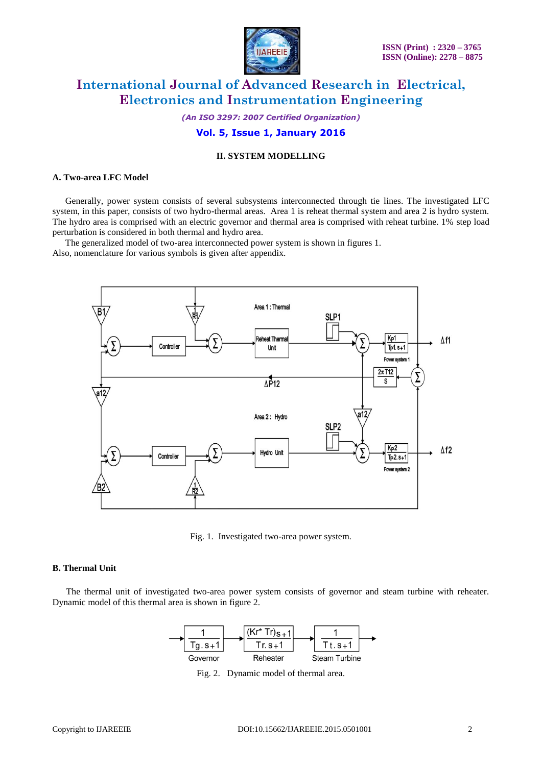

*(An ISO 3297: 2007 Certified Organization)*

### **Vol. 5, Issue 1, January 2016**

### **II. SYSTEM MODELLING**

#### **A. Two-area LFC Model**

Generally, power system consists of several subsystems interconnected through tie lines. The investigated LFC system, in this paper, consists of two hydro-thermal areas. Area 1 is reheat thermal system and area 2 is hydro system. The hydro area is comprised with an electric governor and thermal area is comprised with reheat turbine. 1% step load perturbation is considered in both thermal and hydro area.

The generalized model of two-area interconnected power system is shown in figures 1. Also, nomenclature for various symbols is given after appendix.



Fig. 1. Investigated two-area power system.

#### **B. Thermal Unit**

 The thermal unit of investigated two-area power system consists of governor and steam turbine with reheater. Dynamic model of this thermal area is shown in figure 2.



Fig. 2. Dynamic model of thermal area.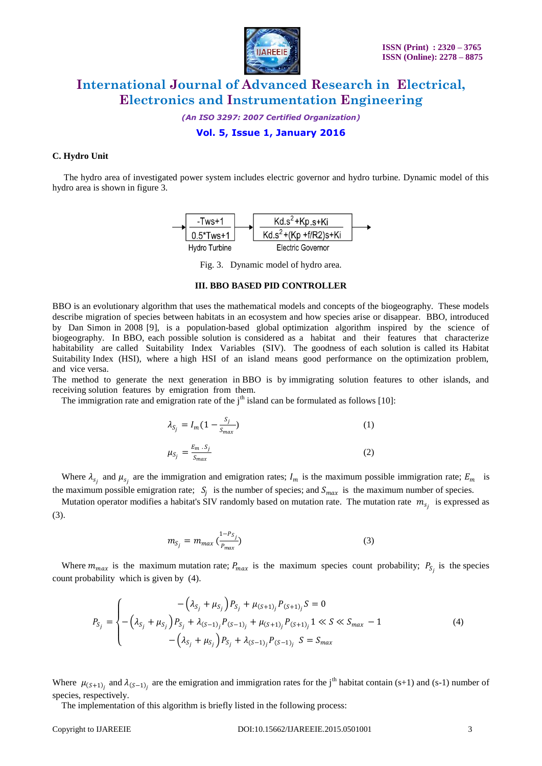

*(An ISO 3297: 2007 Certified Organization)*

### **Vol. 5, Issue 1, January 2016**

### **C. Hydro Unit**

 The hydro area of investigated power system includes electric governor and hydro turbine. Dynamic model of this hydro area is shown in figure 3.



Fig. 3. Dynamic model of hydro area.

#### **III. BBO BASED PID CONTROLLER**

BBO is an evolutionary algorithm that uses the mathematical models and concepts of the biogeography. These models describe migration of species between habitats in an ecosystem and how species arise or disappear. BBO, introduced by Dan Simon in 2008 [9], is a population-based global optimization algorithm inspired by the science of biogeography. In BBO, each possible solution is considered as a habitat and their features that characterize habitability are called Suitability Index Variables (SIV). The goodness of each solution is called its Habitat Suitability Index (HSI), where a high HSI of an island means good performance on the optimization problem, and vice versa.

The method to generate the next generation in BBO is by immigrating solution features to other islands, and receiving solution features by emigration from them.

The immigration rate and emigration rate of the  $j<sup>th</sup>$  island can be formulated as follows [10]:

$$
\lambda_{S_j} = I_m \left( 1 - \frac{S_j}{S_{max}} \right) \tag{1}
$$

$$
\mu_{S_j} = \frac{E_m \cdot S_j}{S_{max}} \tag{2}
$$

Where  $\lambda_{s_j}$  and  $\mu_{s_j}$  are the immigration and emigration rates;  $I_m$  is the maximum possible immigration rate;  $E_m$  is the maximum possible emigration rate;  $S_j$  is the number of species; and  $S_{max}$  is the maximum number of species.

Mutation operator modifies a habitat's SIV randomly based on mutation rate. The mutation rate  $m_{s_j}$  is expressed as (3).

$$
m_{S_j} = m_{max} \left( \frac{1 - P_{S_j}}{P_{max}} \right) \tag{3}
$$

Where  $m_{max}$  is the maximum mutation rate;  $P_{max}$  is the maximum species count probability;  $P_{S_j}$  is the species count probability which is given by (4).

$$
P_{S_j} = \begin{cases} \n-\left(\lambda_{S_j} + \mu_{S_j}\right) P_{S_j} + \mu_{(S+1)_j} P_{(S+1)_j} S = 0\\ \n-\left(\lambda_{S_j} + \mu_{S_j}\right) P_{S_j} + \lambda_{(S-1)_j} P_{(S-1)_j} + \mu_{(S+1)_j} P_{(S+1)_j} 1 \ll S \ll S_{max} - 1\\ \n-\left(\lambda_{S_j} + \mu_{S_j}\right) P_{S_j} + \lambda_{(S-1)_j} P_{(S-1)_j} S = S_{max} \n\end{cases} \tag{4}
$$

Where  $\mu_{(S+1)_i}$  and  $\lambda_{(S-1)_i}$  are the emigration and immigration rates for the j<sup>th</sup> habitat contain (s+1) and (s-1) number of species, respectively.

The implementation of this algorithm is briefly listed in the following process: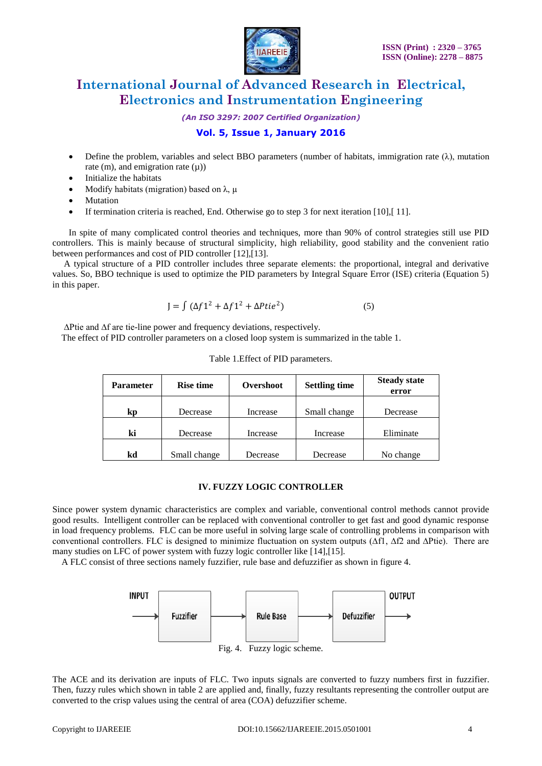

*(An ISO 3297: 2007 Certified Organization)*

### **Vol. 5, Issue 1, January 2016**

- Define the problem, variables and select BBO parameters (number of habitats, immigration rate  $(\lambda)$ , mutation rate (m), and emigration rate  $(\mu)$ )
- Initialize the habitats
- Modify habitats (migration) based on  $\lambda$ ,  $\mu$
- Mutation
- If termination criteria is reached, End. Otherwise go to step 3 for next iteration [10],[ 11].

In spite of many complicated control theories and techniques, more than 90% of control strategies still use PID controllers. This is mainly because of structural simplicity, high reliability, good stability and the convenient ratio between performances and cost of PID controller [12],[13].

 A typical structure of a PID controller includes three separate elements: the proportional, integral and derivative values. So, BBO technique is used to optimize the PID parameters by Integral Square Error (ISE) criteria (Equation 5) in this paper.

$$
J = \int (\Delta f 1^2 + \Delta f 1^2 + \Delta P t i e^2)
$$
 (5)

∆Ptie and ∆f are tie-line power and frequency deviations, respectively.

The effect of PID controller parameters on a closed loop system is summarized in the table 1.

| <b>Parameter</b> | <b>Rise time</b> | Overshoot | <b>Settling time</b> | <b>Steady state</b><br>error |
|------------------|------------------|-----------|----------------------|------------------------------|
| kp               | Decrease         | Increase  | Small change         | Decrease                     |
| ki               | Decrease         | Increase  | Increase             | Eliminate                    |
| kd               | Small change     | Decrease  | Decrease             | No change                    |

#### Table 1.Effect of PID parameters.

#### **IV. FUZZY LOGIC CONTROLLER**

Since power system dynamic characteristics are complex and variable, conventional control methods cannot provide good results. Intelligent controller can be replaced with conventional controller to get fast and good dynamic response in load frequency problems. FLC can be more useful in solving large scale of controlling problems in comparison with conventional controllers. FLC is designed to minimize fluctuation on system outputs (∆f1, ∆f2 and ∆Ptie). There are many studies on LFC of power system with fuzzy logic controller like [14],[15].

A FLC consist of three sections namely fuzzifier, rule base and defuzzifier as shown in figure 4.



The ACE and its derivation are inputs of FLC. Two inputs signals are converted to fuzzy numbers first in fuzzifier. Then, fuzzy rules which shown in table 2 are applied and, finally, fuzzy resultants representing the controller output are converted to the crisp values using the central of area (COA) defuzzifier scheme.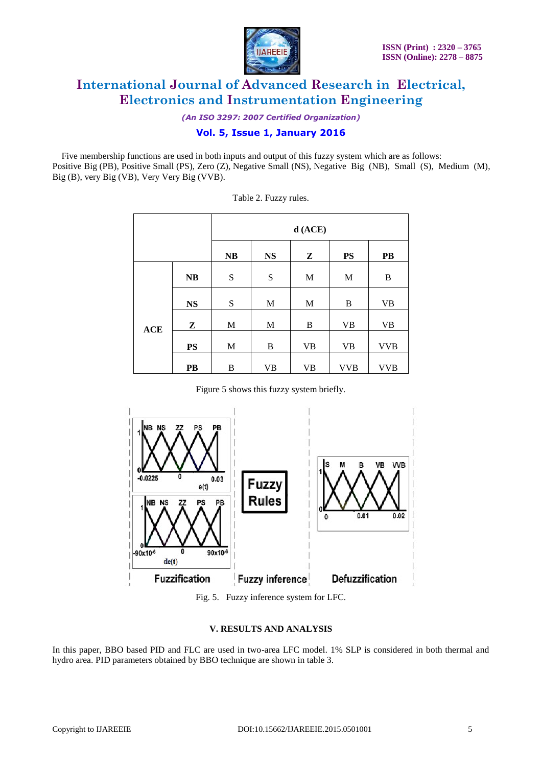

*(An ISO 3297: 2007 Certified Organization)*

### **Vol. 5, Issue 1, January 2016**

 Five membership functions are used in both inputs and output of this fuzzy system which are as follows: Positive Big (PB), Positive Small (PS), Zero (Z), Negative Small (NS), Negative Big (NB), Small (S), Medium (M), Big (B), very Big (VB), Very Very Big (VVB).

|     |               | $d$ (ACE)   |               |              |             |                 |
|-----|---------------|-------------|---------------|--------------|-------------|-----------------|
|     |               | NB          | $\mathbf{NS}$ | Z            | <b>PS</b>   | $\overline{PB}$ |
|     | NB            | S           | S             | $\mathbf M$  | $\mathbf M$ | B               |
|     | $\mathbf{NS}$ | ${\bf S}$   | $\mathbf M$   | $\mathbf{M}$ | B           | <b>VB</b>       |
| ACE | Z             | $\mathbf M$ | $\mathbf M$   | B            | <b>VB</b>   | <b>VB</b>       |
|     | $\mathbf{PS}$ | $\mathbf M$ | $\, {\bf B}$  | <b>VB</b>    | <b>VB</b>   | <b>VVB</b>      |
|     | PB            | B           | <b>VB</b>     | <b>VB</b>    | <b>VVB</b>  | <b>VVB</b>      |

Table 2. Fuzzy rules.

Figure 5 shows this fuzzy system briefly.



Fig. 5. Fuzzy inference system for LFC.

### **V. RESULTS AND ANALYSIS**

In this paper, BBO based PID and FLC are used in two-area LFC model. 1% SLP is considered in both thermal and hydro area. PID parameters obtained by BBO technique are shown in table 3.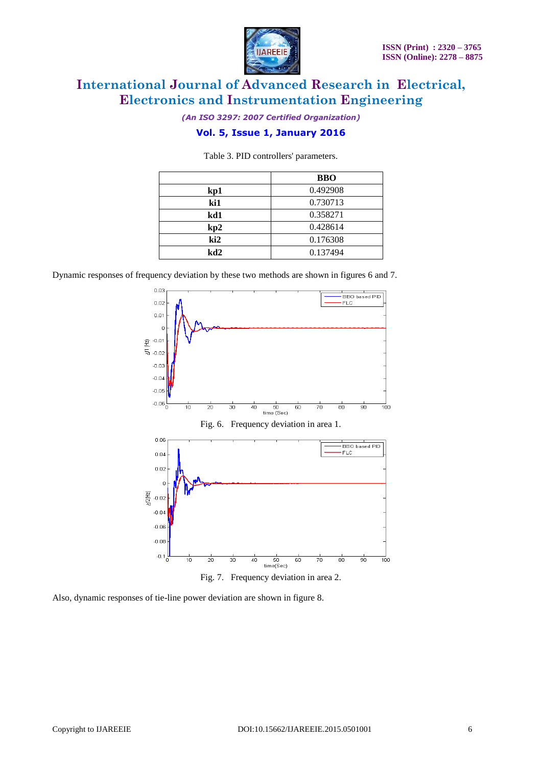



*(An ISO 3297: 2007 Certified Organization)*

# **Vol. 5, Issue 1, January 2016**

|     | <b>BBO</b> |
|-----|------------|
| kp1 | 0.492908   |
| ki1 | 0.730713   |
| kd1 | 0.358271   |
| kp2 | 0.428614   |
| ki2 | 0.176308   |
| kd2 | 0.137494   |

Table 3. PID controllers' parameters.

Dynamic responses of frequency deviation by these two methods are shown in figures 6 and 7.



Fig. 7. Frequency deviation in area 2.

Also, dynamic responses of tie-line power deviation are shown in figure 8.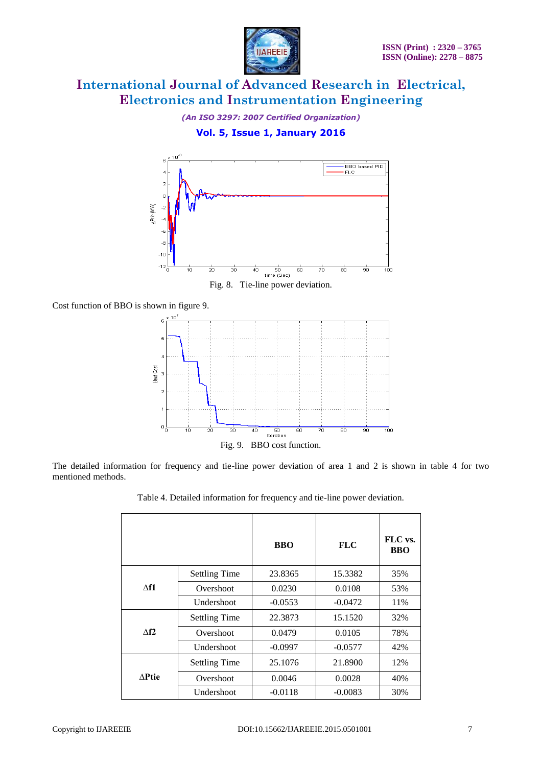

*(An ISO 3297: 2007 Certified Organization)*

## **Vol. 5, Issue 1, January 2016**



Cost function of BBO is shown in figure 9.



The detailed information for frequency and tie-line power deviation of area 1 and 2 is shown in table 4 for two mentioned methods.

|                |                      | <b>BBO</b> | <b>FLC</b> | FLC vs.<br><b>BBO</b> |
|----------------|----------------------|------------|------------|-----------------------|
| $\Lambda$ f1   | <b>Settling Time</b> | 23.8365    | 15.3382    | 35%                   |
|                | Overshoot            | 0.0230     | 0.0108     | 53%                   |
|                | Undershoot           | $-0.0553$  | $-0.0472$  | 11%                   |
| $\triangle$ f2 | <b>Settling Time</b> | 22.3873    | 15.1520    | 32%                   |
|                | Overshoot            | 0.0479     | 0.0105     | 78%                   |
|                | Undershoot           | $-0.0997$  | $-0.0577$  | 42%                   |
| <b>APtie</b>   | <b>Settling Time</b> | 25.1076    | 21.8900    | 12%                   |
|                | Overshoot            | 0.0046     | 0.0028     | 40%                   |
|                | Undershoot           | $-0.0118$  | $-0.0083$  | 30%                   |

Table 4. Detailed information for frequency and tie-line power deviation.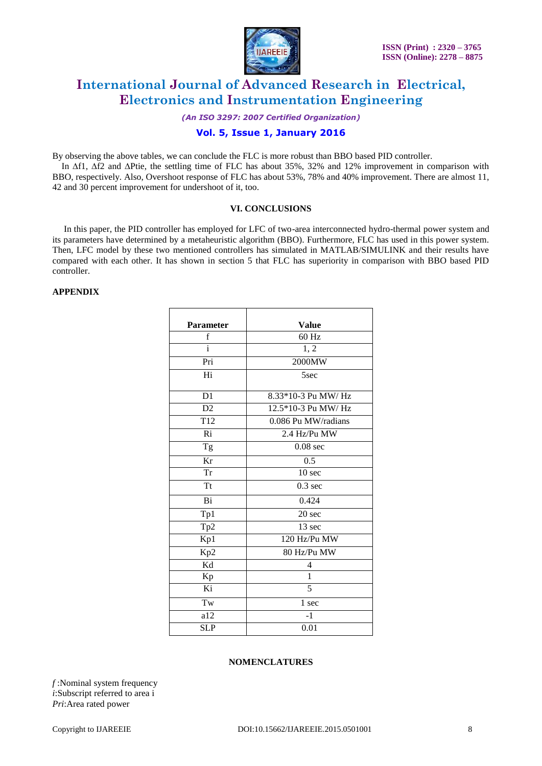

*(An ISO 3297: 2007 Certified Organization)*

### **Vol. 5, Issue 1, January 2016**

By observing the above tables, we can conclude the FLC is more robust than BBO based PID controller.

 In **∆**f1, **∆**f2 and **∆**Ptie, the settling time of FLC has about 35%, 32% and 12% improvement in comparison with BBO, respectively. Also, Overshoot response of FLC has about 53%, 78% and 40% improvement. There are almost 11, 42 and 30 percent improvement for undershoot of it, too.

### **VI. CONCLUSIONS**

 In this paper, the PID controller has employed for LFC of two-area interconnected hydro-thermal power system and its parameters have determined by a metaheuristic algorithm (BBO). Furthermore, FLC has used in this power system. Then, LFC model by these two mentioned controllers has simulated in MATLAB/SIMULINK and their results have compared with each other. It has shown in section 5 that FLC has superiority in comparison with BBO based PID controller.

#### **APPENDIX**

| <b>Parameter</b>       | <b>Value</b>        |
|------------------------|---------------------|
| f                      | 60 Hz               |
|                        | 1, 2                |
| Pri                    | 2000MW              |
| Hi                     | 5sec                |
| D1                     | 8.33*10-3 Pu MW/ Hz |
| D2                     | 12.5*10-3 Pu MW/ Hz |
| T <sub>12</sub>        | 0.086 Pu MW/radians |
| Ri                     | 2.4 Hz/Pu MW        |
| Tg                     | $0.08$ sec          |
| $\overline{\text{Kr}}$ | $\overline{0.5}$    |
| Tr                     | 10 <sub>sec</sub>   |
| <b>Tt</b>              | $0.3$ sec           |
| Bi                     | 0.424               |
| Tp1                    | 20 sec              |
| Tp2                    | 13 sec              |
| Kp1                    | 120 Hz/Pu MW        |
| Kp2                    | 80 Hz/Pu MW         |
| $\overline{Kd}$        | 4                   |
| Kp                     | $\overline{1}$      |
| Ki                     | 5                   |
| Tw                     | 1 sec               |
| a12                    | $-1$                |
| <b>SLP</b>             | 0.01                |

#### **NOMENCLATURES**

*f* :Nominal system frequency *i*:Subscript referred to area i *Pri*:Area rated power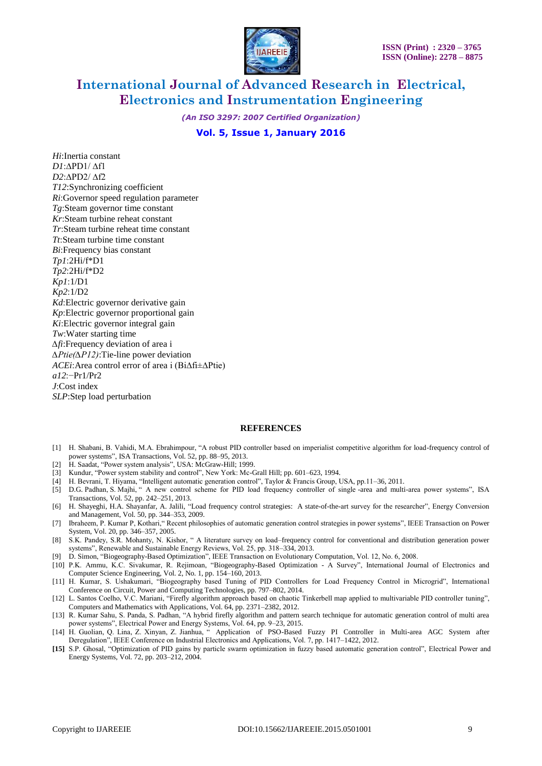

*(An ISO 3297: 2007 Certified Organization)*

### **Vol. 5, Issue 1, January 2016**

*Hi*:Inertia constant *D1*:∆PD1/ ∆f1 *D2*:∆PD2/ ∆f2 *T12*:Synchronizing coefficient *Ri*:Governor speed regulation parameter *Tg*:Steam governor time constant *Kr*:Steam turbine reheat constant *Tr*:Steam turbine reheat time constant *Tt*:Steam turbine time constant *Bi*:Frequency bias constant *Tp1*:2Hi/f\*D1 *Tp2*:2Hi/f\*D2 *Kp1*:1/D1 *Kp2*:1/D2 *Kd*:Electric governor derivative gain *Kp*:Electric governor proportional gain *Ki*:Electric governor integral gain *Tw*:Water starting time *∆fi*:Frequency deviation of area i *∆Ptie(∆P12)*:Tie-line power deviation *ACEi*:Area control error of area i (Bi∆fi±∆Ptie) *a12*:−Pr1/Pr2 *J*:Cost index *SLP*:Step load perturbation

#### **REFERENCES**

- [1] H. Shabani, B. Vahidi, M.A. Ebrahimpour, "A robust PID controller based on imperialist competitive algorithm for load-frequency control of power systems", ISA Transactions, Vol. 52, pp. 88–95, 2013.
- [2] H. Saadat, "Power system analysis", USA: McGraw-Hill; 1999.
- [3] Kundur, "Power system stability and control", New York: Mc-Grall Hill; pp. 601–623, 1994.
- [4] H. Bevrani, T. Hiyama, "Intelligent automatic generation control", Taylor & Francis Group, USA, pp.11–36, 2011.
- [5] D.G. Padhan, S. Majhi, " A new control scheme for PID load frequency controller of single -area and multi-area power systems", ISA Transactions, Vol. 52, pp. 242–251, 2013.
- [6] H. Shayeghi, H.A. Shayanfar, A. Jalili, "Load frequency control strategies: A state-of-the-art survey for the researcher", Energy Conversion and Management, Vol. 50, pp. 344–353, 2009.
- [7] Ibraheem, P. Kumar P, Kothari," Recent philosophies of automatic generation control strategies in power systems", IEEE Transaction on Power System, Vol. 20, pp. 346–357, 2005.
- [8] S.K. Pandey, S.R. Mohanty, N. Kishor, " A literature survey on load–frequency control for conventional and distribution generation power systems", Renewable and Sustainable Energy Reviews, Vol. 25, pp. 318–334, 2013.
- [9] D. Simon, "Biogeography-Based Optimization", IEEE Transaction on Evolutionary Computation, Vol. 12, No. 6, 2008.
- [10] P.K. Ammu, K.C. Sivakumar, R. Rejimoan, "Biogeography-Based Optimization A Survey", International Journal of Electronics and Computer Science Engineering, Vol. 2, No. 1, pp. 154–160, 2013.
- [11] H. Kumar, S. Ushakumari, "Biogeography based Tuning of PID Controllers for Load Frequency Control in Microgrid", International Conference on Circuit, Power and Computing Technologies, pp. 797–802, 2014.
- [12] L. Santos Coelho, V.C. Mariani, "Firefly algorithm approach based on chaotic Tinkerbell map applied to multivariable PID controller tuning", Computers and Mathematics with Applications, Vol. 64, pp. 2371–2382, 2012.
- [13] R. Kumar Sahu, S. Panda, S. Padhan, "A hybrid firefly algorithm and pattern search technique for automatic generation control of multi area power systems", Electrical Power and Energy Systems, Vol. 64, pp. 9–23, 2015.
- [14] H. Guolian, Q. Lina, Z. Xinyan, Z. Jianhua, " Application of PSO-Based Fuzzy PI Controller in Multi-area AGC System after Deregulation", IEEE Conference on Industrial Electronics and Applications, Vol. 7, pp. 1417–1422, 2012.
- **[15]** S.P. Ghosal, "Optimization of PID gains by particle swarm optimization in fuzzy based automatic generation control", Electrical Power and Energy Systems, Vol. 72, pp. 203–212, 2004.